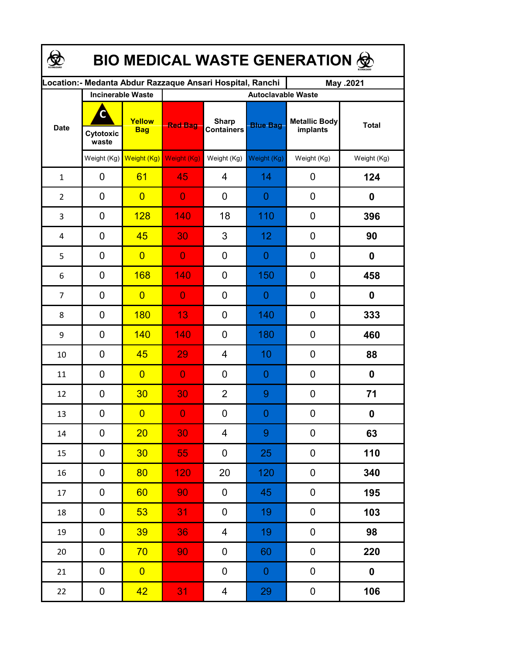| <b>BIO MEDICAL WASTE GENERATION ©</b> |                         |                          |                                                            |                                   |                  |                                  |              |  |  |  |
|---------------------------------------|-------------------------|--------------------------|------------------------------------------------------------|-----------------------------------|------------------|----------------------------------|--------------|--|--|--|
|                                       |                         |                          | Location: - Medanta Abdur Razzaque Ansari Hospital, Ranchi |                                   |                  | May .2021                        |              |  |  |  |
|                                       |                         | <b>Incinerable Waste</b> | <b>Autoclavable Waste</b>                                  |                                   |                  |                                  |              |  |  |  |
| <b>Date</b>                           | C<br>Cytotoxic<br>waste | Yellow<br><b>Bag</b>     | <b>Red Bag</b>                                             | <b>Sharp</b><br><b>Containers</b> | <b>Blue Bag</b>  | <b>Metallic Body</b><br>implants | <b>Total</b> |  |  |  |
|                                       |                         | Weight (Kg) Weight (Kg)  | Weight (Kg)                                                | Weight (Kg)                       | Weight (Kg)      | Weight (Kg)                      | Weight (Kg)  |  |  |  |
| $\mathbf{1}$                          | 0                       | 61                       | 45                                                         | $\overline{4}$                    | 14               | 0                                | 124          |  |  |  |
| $\overline{2}$                        | 0                       | $\overline{0}$           | $\overline{0}$                                             | 0                                 | 0                | $\mathbf 0$                      | 0            |  |  |  |
| 3                                     | 0                       | <b>128</b>               | 140                                                        | 18                                | 110              | $\mathbf 0$                      | 396          |  |  |  |
| 4                                     | 0                       | 45                       | 30                                                         | 3                                 | 12               | $\mathbf 0$                      | 90           |  |  |  |
| 5                                     | 0                       | $\overline{0}$           | $\overline{0}$                                             | 0                                 | 0                | $\mathbf 0$                      | 0            |  |  |  |
| 6                                     | 0                       | 168                      | 140                                                        | 0                                 | 150              | $\mathbf 0$                      | 458          |  |  |  |
| $\overline{7}$                        | 0                       | $\overline{0}$           | $\overline{0}$                                             | 0                                 | 0                | $\mathbf 0$                      | 0            |  |  |  |
| 8                                     | $\mathbf 0$             | <b>180</b>               | 13                                                         | 0                                 | 140              | $\mathbf 0$                      | 333          |  |  |  |
| 9                                     | 0                       | 140                      | 140                                                        | 0                                 | 180              | 0                                | 460          |  |  |  |
| 10                                    | 0                       | 45                       | 29                                                         | 4                                 | 10               | 0                                | 88           |  |  |  |
| 11                                    | 0                       | $\overline{0}$           | $\overline{0}$                                             | $\overline{0}$                    | 0                | 0                                | 0            |  |  |  |
| 12                                    | 0                       | 30                       | 30                                                         | $\overline{2}$                    | 9                | 0                                | 71           |  |  |  |
| 13                                    | 0                       | $\overline{0}$           | $\overline{0}$                                             | 0                                 | $\Omega$         | 0                                | $\mathbf 0$  |  |  |  |
| $14\,$                                | 0                       | 20                       | 30                                                         | 4                                 | 9                | 0                                | 63           |  |  |  |
| 15                                    | 0                       | 30 <sub>2</sub>          | 55                                                         | 0                                 | 25               | $\pmb{0}$                        | 110          |  |  |  |
| 16                                    | 0                       | 80                       | 120                                                        | 20                                | 120              | 0                                | 340          |  |  |  |
| 17                                    | $\pmb{0}$               | 60                       | 90                                                         | 0                                 | 45               | $\boldsymbol{0}$                 | 195          |  |  |  |
| 18                                    | 0                       | 53                       | 31                                                         | 0                                 | 19               | 0                                | 103          |  |  |  |
| 19                                    | 0                       | 39                       | 36                                                         | 4                                 | 19               | 0                                | 98           |  |  |  |
| $20\,$                                | 0                       | 70                       | 90                                                         | 0                                 | 60               | 0                                | 220          |  |  |  |
| 21                                    | $\pmb{0}$               | $\overline{0}$           |                                                            | 0                                 | $\boldsymbol{0}$ | $\pmb{0}$                        | $\mathbf 0$  |  |  |  |
| 22                                    | $\boldsymbol{0}$        | 42 <sub>2</sub>          | 31                                                         | $\overline{4}$                    | 29               | $\pmb{0}$                        | 106          |  |  |  |